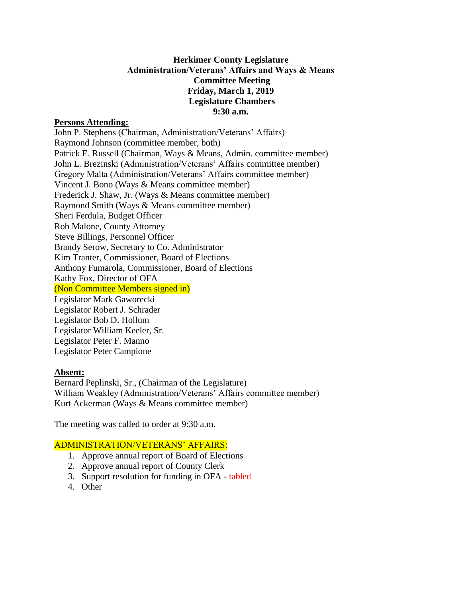# **Herkimer County Legislature Administration/Veterans' Affairs and Ways & Means Committee Meeting Friday, March 1, 2019 Legislature Chambers 9:30 a.m.**

### **Persons Attending:**

John P. Stephens (Chairman, Administration/Veterans' Affairs) Raymond Johnson (committee member, both) Patrick E. Russell (Chairman, Ways & Means, Admin. committee member) John L. Brezinski (Administration/Veterans' Affairs committee member) Gregory Malta (Administration/Veterans' Affairs committee member) Vincent J. Bono (Ways & Means committee member) Frederick J. Shaw, Jr. (Ways & Means committee member) Raymond Smith (Ways & Means committee member) Sheri Ferdula, Budget Officer Rob Malone, County Attorney Steve Billings, Personnel Officer Brandy Serow, Secretary to Co. Administrator Kim Tranter, Commissioner, Board of Elections Anthony Fumarola, Commissioner, Board of Elections Kathy Fox, Director of OFA (Non Committee Members signed in) Legislator Mark Gaworecki Legislator Robert J. Schrader Legislator Bob D. Hollum Legislator William Keeler, Sr. Legislator Peter F. Manno Legislator Peter Campione

#### **Absent:**

Bernard Peplinski, Sr., (Chairman of the Legislature) William Weakley (Administration/Veterans' Affairs committee member) Kurt Ackerman (Ways & Means committee member)

The meeting was called to order at 9:30 a.m.

### ADMINISTRATION/VETERANS' AFFAIRS:

- 1. Approve annual report of Board of Elections
- 2. Approve annual report of County Clerk
- 3. Support resolution for funding in OFA tabled
- 4. Other